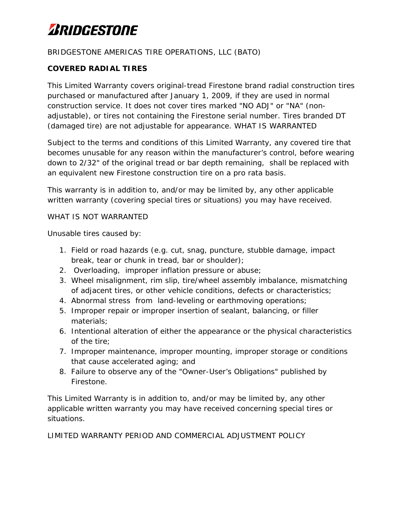# *ARIDGESTONE*

#### BRIDGESTONE AMERICAS TIRE OPERATIONS, LLC (BATO)

### **COVERED RADIAL TIRES**

This Limited Warranty covers original-tread Firestone brand radial construction tires purchased or manufactured after January 1, 2009, if they are used in normal construction service. It does not cover tires marked "NO ADJ" or "NA" (nonadjustable), or tires not containing the Firestone serial number. Tires branded DT (damaged tire) are not adjustable for appearance. WHAT IS WARRANTED

Subject to the terms and conditions of this Limited Warranty, any covered tire that becomes unusable for any reason within the manufacturer's control, before wearing down to 2/32" of the original tread or bar depth remaining, shall be replaced with an equivalent new Firestone construction tire on a pro rata basis.

This warranty is in addition to, and/or may be limited by, any other applicable written warranty (covering special tires or situations) you may have received.

#### WHAT IS NOT WARRANTED

Unusable tires caused by:

- 1. Field or road hazards (e.g. cut, snag, puncture, stubble damage, impact break, tear or chunk in tread, bar or shoulder);
- 2. Overloading, improper inflation pressure or abuse;
- 3. Wheel misalignment, rim slip, tire/wheel assembly imbalance, mismatching of adjacent tires, or other vehicle conditions, defects or characteristics;
- 4. Abnormal stress from land-leveling or earthmoving operations;
- 5. Improper repair or improper insertion of sealant, balancing, or filler materials;
- 6. Intentional alteration of either the appearance or the physical characteristics of the tire;
- 7. Improper maintenance, improper mounting, improper storage or conditions that cause accelerated aging; and
- 8. Failure to observe any of the "Owner-User's Obligations" published by Firestone.

This Limited Warranty is in addition to, and/or may be limited by, any other applicable written warranty you may have received concerning special tires or situations.

LIMITED WARRANTY PERIOD AND COMMERCIAL ADJUSTMENT POLICY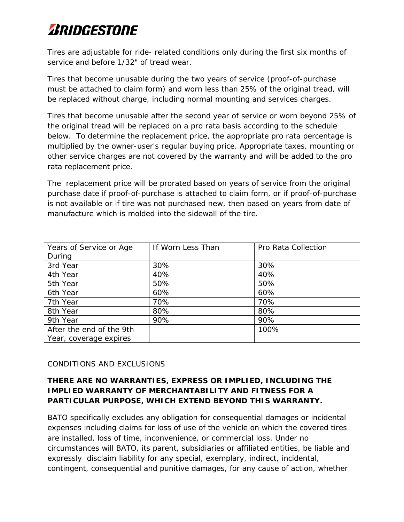# *ARIDGESTONE*

Tires are adjustable for ride- related conditions only during the first six months of service and before 1/32" of tread wear.

Tires that become unusable during the two years of service (proof-of-purchase must be attached to claim form) and worn less than 25% of the original tread, will be replaced without charge, including normal mounting and services charges.

Tires that become unusable after the second year of service or worn beyond 25% of the original tread will be replaced on a pro rata basis according to the schedule below. To determine the replacement price, the appropriate pro rata percentage is multiplied by the owner-user's regular buying price. Appropriate taxes, mounting or other service charges are not covered by the warranty and will be added to the pro rata replacement price.

The replacement price will be prorated based on years of service from the original purchase date if proof-of-purchase is attached to claim form, or if proof-of-purchase is not available or if tire was not purchased new, then based on years from date of manufacture which is molded into the sidewall of the tire.

| Years of Service or Age  | If Worn Less Than | Pro Rata Collection |
|--------------------------|-------------------|---------------------|
| During                   |                   |                     |
| 3rd Year                 | 30%               | 30%                 |
| 4th Year                 | 40%               | 40%                 |
| 5th Year                 | 50%               | 50%                 |
| 6th Year                 | 60%               | 60%                 |
| 7th Year                 | 70%               | 70%                 |
| 8th Year                 | 80%               | 80%                 |
| 9th Year                 | 90%               | 90%                 |
| After the end of the 9th |                   | 100%                |
| Year, coverage expires   |                   |                     |

### CONDITIONS AND EXCLUSIONS

### **THERE ARE NO WARRANTIES, EXPRESS OR IMPLIED, INCLUDING THE IMPLIED WARRANTY OF MERCHANTABILITY AND FITNESS FOR A PARTICULAR PURPOSE, WHICH EXTEND BEYOND THIS WARRANTY.**

BATO specifically excludes any obligation for consequential damages or incidental expenses including claims for loss of use of the vehicle on which the covered tires are installed, loss of time, inconvenience, or commercial loss. Under no circumstances will BATO, its parent, subsidiaries or affiliated entities, be liable and expressly disclaim liability for any special, exemplary, indirect, incidental, contingent, consequential and punitive damages, for any cause of action, whether